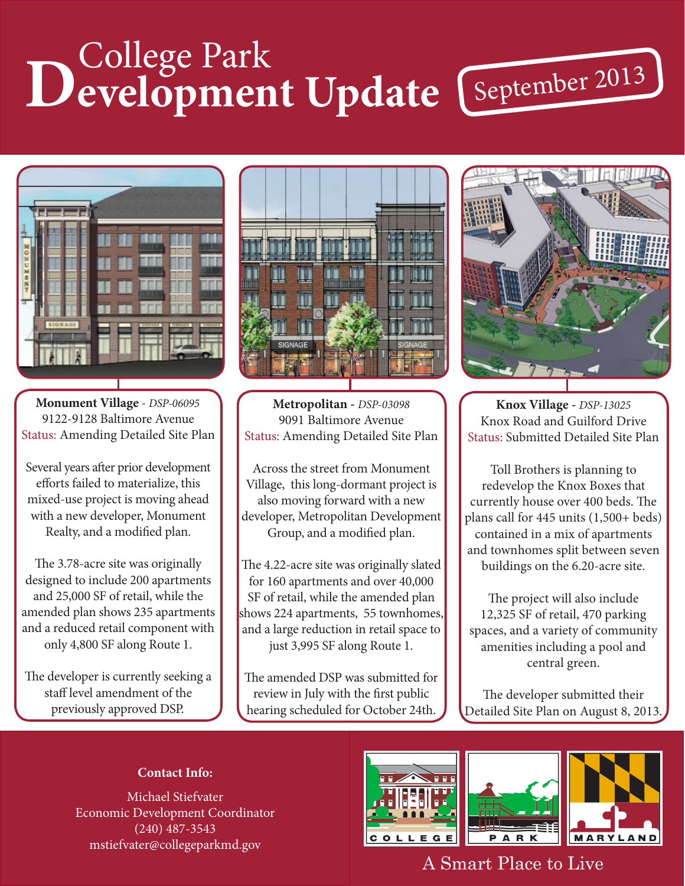# College Park **Development Update** September 2013



**Monument Village** *- DSP-06095* 9122-9128 Baltimore Avenue Status: Amending Detailed Site Plan

Several years after prior development efforts failed to materialize, this mixed-use project is moving ahead with a new developer, Monument Realty, and a modified plan.

The 3.78-acre site was originally designed to include 200 apartments and 25,000 SF of retail, while the amended plan shows 235 apartments and a reduced retail component with only 4,800 SF along Route 1.

The developer is currently seeking a staff level amendment of the previously approved DSP.



**Metropolitan -** *DSP-03098* 9091 Baltimore Avenue Status: Amending Detailed Site Plan

Across the street from Monument Village, this long-dormant project is also moving forward with a new developer, Metropolitan Development Group, and a modified plan.

The 4.22-acre site was originally slated for 160 apartments and over 40,000 SF of retail, while the amended plan shows 224 apartments, 55 townhomes, and a large reduction in retail space to just 3,995 SF along Route 1.

The amended DSP was submitted for review in July with the first public hearing scheduled for October 24th.



**Knox Village -** *DSP-13025* Knox Road and Guilford Drive Status: Submitted Detailed Site Plan

Toll Brothers is planning to redevelop the Knox Boxes that currently house over 400 beds. The plans call for 445 units (1,500+ beds) contained in a mix of apartments and townhomes split between seven buildings on the 6.20-acre site.

The project will also include 12,325 SF of retail, 470 parking spaces, and a variety of community amenities including a pool and central green.

The developer submitted their Detailed Site Plan on August 8, 2013.

#### **Contact Info:**

Michael Stiefvater Economic Development Coordinator (240) 487-3543 mstiefvater@collegeparkmd.gov







#### A Smart Place to Live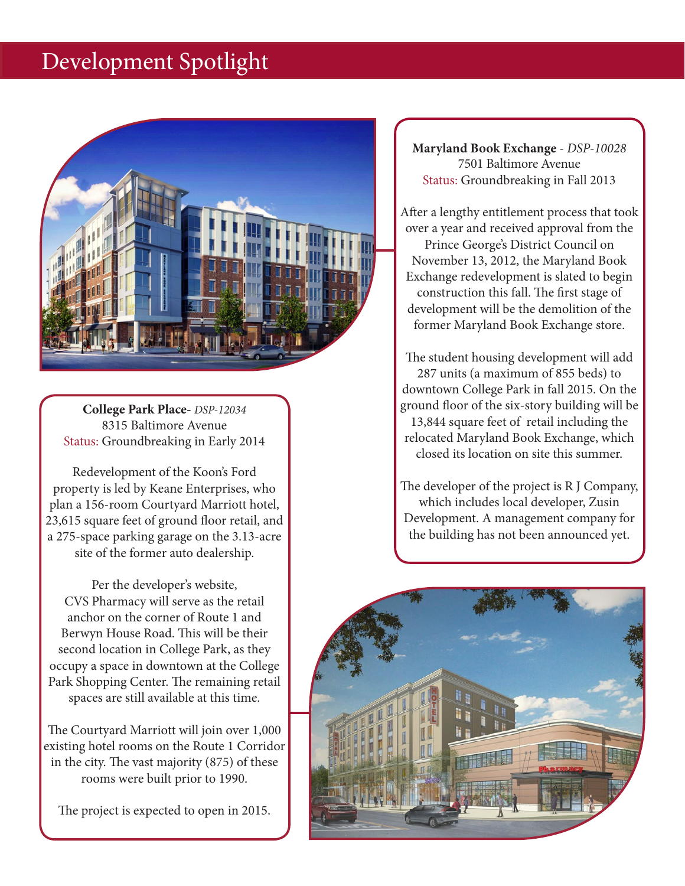## Development Spotlight



**College Park Place-** *DSP-12034* 8315 Baltimore Avenue Status: Groundbreaking in Early 2014

Redevelopment of the Koon's Ford property is led by Keane Enterprises, who plan a 156-room Courtyard Marriott hotel, 23,615 square feet of ground floor retail, and a 275-space parking garage on the 3.13-acre site of the former auto dealership.

Per the developer's website, CVS Pharmacy will serve as the retail anchor on the corner of Route 1 and Berwyn House Road. This will be their second location in College Park, as they occupy a space in downtown at the College Park Shopping Center. The remaining retail spaces are still available at this time.

The Courtyard Marriott will join over 1,000 existing hotel rooms on the Route 1 Corridor in the city. The vast majority (875) of these rooms were built prior to 1990.

The project is expected to open in 2015.

**Maryland Book Exchange** *- DSP-10028* 7501 Baltimore Avenue Status: Groundbreaking in Fall 2013

After a lengthy entitlement process that took over a year and received approval from the Prince George's District Council on November 13, 2012, the Maryland Book Exchange redevelopment is slated to begin construction this fall. The first stage of development will be the demolition of the former Maryland Book Exchange store.

The student housing development will add 287 units (a maximum of 855 beds) to downtown College Park in fall 2015. On the ground floor of the six-story building will be 13,844 square feet of retail including the relocated Maryland Book Exchange, which closed its location on site this summer.

The developer of the project is R J Company, which includes local developer, Zusin Development. A management company for the building has not been announced yet.

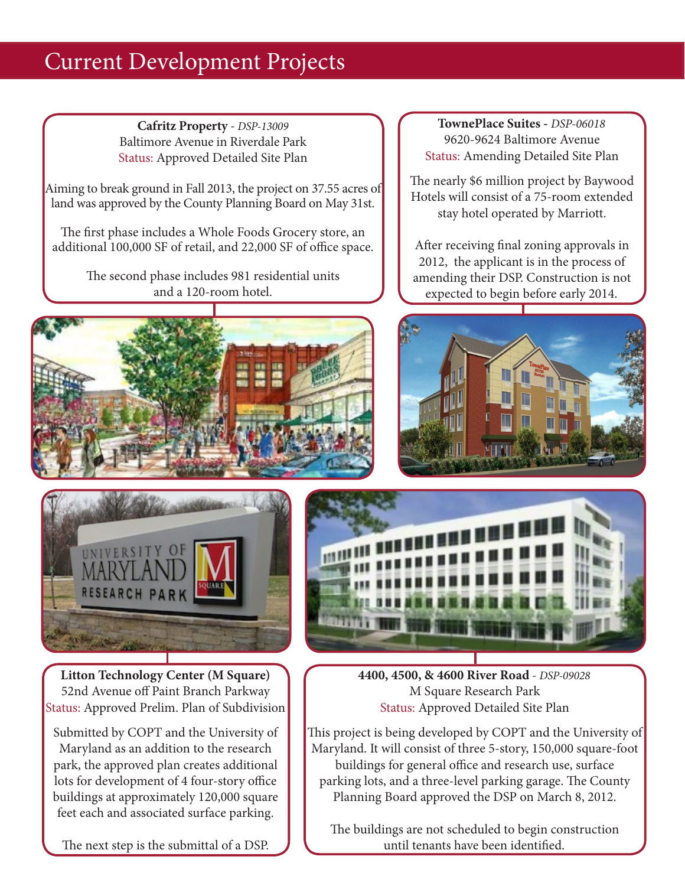### Current Development Projects

**Cafritz Property** *- DSP-13009* Baltimore Avenue in Riverdale Park Status: Approved Detailed Site Plan

Aiming to break ground in Fall 2013, the project on 37.55 acres of land was approved by the County Planning Board on May 31st.

The first phase includes a Whole Foods Grocery store, an additional 100,000 SF of retail, and 22,000 SF of office space.

> The second phase includes 981 residential units and a 120-room hotel.

**TownePlace Suites -** *DSP-06018* 9620-9624 Baltimore Avenue Status: Amending Detailed Site Plan

The nearly \$6 million project by Baywood Hotels will consist of a 75-room extended stay hotel operated by Marriott.

After receiving final zoning approvals in 2012, the applicant is in the process of amending their DSP. Construction is not expected to begin before early 2014.





**Litton Technology Center (M Square)** 52nd Avenue off Paint Branch Parkway Status: Approved Prelim. Plan of Subdivision

Submitted by COPT and the University of Maryland as an addition to the research park, the approved plan creates additional lots for development of 4 four-story office buildings at approximately 120,000 square feet each and associated surface parking.

The next step is the submittal of a DSP.



**4400, 4500, & 4600 River Road** *- DSP-09028* M Square Research Park Status: Approved Detailed Site Plan

This project is being developed by COPT and the University of Maryland. It will consist of three 5-story, 150,000 square-foot buildings for general office and research use, surface parking lots, and a three-level parking garage. The County Planning Board approved the DSP on March 8, 2012.

The buildings are not scheduled to begin construction until tenants have been identified.